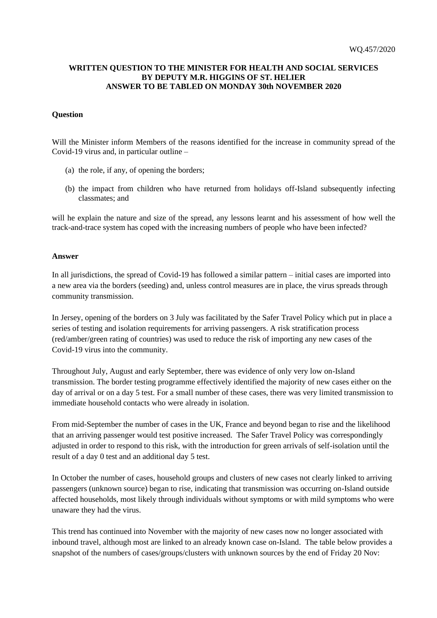## **WRITTEN QUESTION TO THE MINISTER FOR HEALTH AND SOCIAL SERVICES BY DEPUTY M.R. HIGGINS OF ST. HELIER ANSWER TO BE TABLED ON MONDAY 30th NOVEMBER 2020**

## **Question**

Will the Minister inform Members of the reasons identified for the increase in community spread of the Covid-19 virus and, in particular outline –

- (a) the role, if any, of opening the borders;
- (b) the impact from children who have returned from holidays off-Island subsequently infecting classmates; and

will he explain the nature and size of the spread, any lessons learnt and his assessment of how well the track-and-trace system has coped with the increasing numbers of people who have been infected?

## **Answer**

In all jurisdictions, the spread of Covid-19 has followed a similar pattern – initial cases are imported into a new area via the borders (seeding) and, unless control measures are in place, the virus spreads through community transmission.

In Jersey, opening of the borders on 3 July was facilitated by the Safer Travel Policy which put in place a series of testing and isolation requirements for arriving passengers. A risk stratification process (red/amber/green rating of countries) was used to reduce the risk of importing any new cases of the Covid-19 virus into the community.

Throughout July, August and early September, there was evidence of only very low on-Island transmission. The border testing programme effectively identified the majority of new cases either on the day of arrival or on a day 5 test. For a small number of these cases, there was very limited transmission to immediate household contacts who were already in isolation.

From mid-September the number of cases in the UK, France and beyond began to rise and the likelihood that an arriving passenger would test positive increased. The Safer Travel Policy was correspondingly adjusted in order to respond to this risk, with the introduction for green arrivals of self-isolation until the result of a day 0 test and an additional day 5 test.

In October the number of cases, household groups and clusters of new cases not clearly linked to arriving passengers (unknown source) began to rise, indicating that transmission was occurring on-Island outside affected households, most likely through individuals without symptoms or with mild symptoms who were unaware they had the virus.

This trend has continued into November with the majority of new cases now no longer associated with inbound travel, although most are linked to an already known case on-Island. The table below provides a snapshot of the numbers of cases/groups/clusters with unknown sources by the end of Friday 20 Nov: